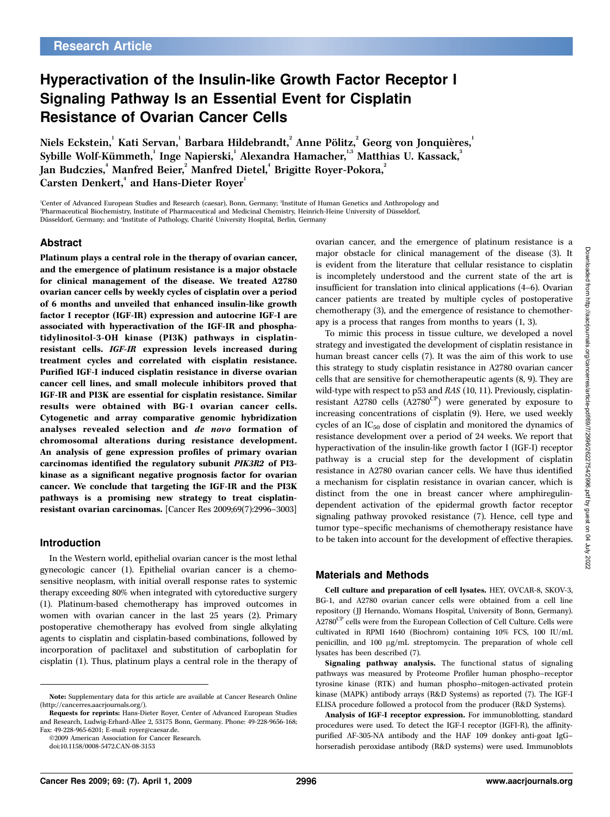# Hyperactivation of the Insulin-like Growth Factor Receptor I Signaling Pathway Is an Essential Event for Cisplatin Resistance of Ovarian Cancer Cells

Niels Eckstein, $^{\rm l}$  Kati Servan, $^{\rm l}$  Barbara Hildebrandt, $^{\rm 2}$  Anne Pölitz, $^{\rm 2}$  Georg von Jonquières, $^{\rm l}$ Sybille Wolf-Kümmeth, $^{\rm l}$  Inge Napierski, $^{\rm l}$  Alexandra Hamacher, $^{\rm l,s}$  Matthias U. Kassack, $^{\rm 3}$ Jan Budczies, $\lq$  Manfred Beier, $\lq$  Manfred Dietel, $\lq$  Brigitte Royer-Pokora, $\lq$ Carsten Denkert,<sup>4</sup> and Hans-Dieter Royer<sup>1</sup>

'Center of Advanced European Studies and Research (caesar), Bonn, Germany; <sup>2</sup>Institute of Human Genetics and Anthropology and <sup>3</sup>Pharmaceutical Biochemistry, Institute of Pharmaceutical and Medicinal Chemistry, Heinrich-Heine University of Düsseldorf, Düsseldorf, Germany; and 'Institute of Pathology, Charité University Hospital, Berlin, Germany

### Abstract

Platinum plays a central role in the therapy of ovarian cancer, and the emergence of platinum resistance is a major obstacle for clinical management of the disease. We treated A2780 ovarian cancer cells by weekly cycles of cisplatin over a period of 6 months and unveiled that enhanced insulin-like growth factor I receptor (IGF-IR) expression and autocrine IGF-I are associated with hyperactivation of the IGF-IR and phosphatidylinositol-3-OH kinase (PI3K) pathways in cisplatinresistant cells. IGF-IR expression levels increased during treatment cycles and correlated with cisplatin resistance. Purified IGF-I induced cisplatin resistance in diverse ovarian cancer cell lines, and small molecule inhibitors proved that IGF-IR and PI3K are essential for cisplatin resistance. Similar results were obtained with BG-1 ovarian cancer cells. Cytogenetic and array comparative genomic hybridization analyses revealed selection and de novo formation of chromosomal alterations during resistance development. An analysis of gene expression profiles of primary ovarian carcinomas identified the regulatory subunit PIK3R2 of PI3 kinase as a significant negative prognosis factor for ovarian cancer. We conclude that targeting the IGF-IR and the PI3K pathways is a promising new strategy to treat cisplatinresistant ovarian carcinomas. [Cancer Res 2009;69(7):2996–3003]

#### Introduction

In the Western world, epithelial ovarian cancer is the most lethal gynecologic cancer (1). Epithelial ovarian cancer is a chemosensitive neoplasm, with initial overall response rates to systemic therapy exceeding 80% when integrated with cytoreductive surgery (1). Platinum-based chemotherapy has improved outcomes in women with ovarian cancer in the last 25 years (2). Primary postoperative chemotherapy has evolved from single alkylating agents to cisplatin and cisplatin-based combinations, followed by incorporation of paclitaxel and substitution of carboplatin for cisplatin (1). Thus, platinum plays a central role in the therapy of ovarian cancer, and the emergence of platinum resistance is a major obstacle for clinical management of the disease (3). It is evident from the literature that cellular resistance to cisplatin is incompletely understood and the current state of the art is insufficient for translation into clinical applications (4–6). Ovarian cancer patients are treated by multiple cycles of postoperative chemotherapy (3), and the emergence of resistance to chemotherapy is a process that ranges from months to years (1, 3).

To mimic this process in tissue culture, we developed a novel strategy and investigated the development of cisplatin resistance in human breast cancer cells (7). It was the aim of this work to use this strategy to study cisplatin resistance in A2780 ovarian cancer cells that are sensitive for chemotherapeutic agents (8, 9). They are wild-type with respect to p53 and RAS (10, 11). Previously, cisplatinresistant A2780 cells  $(A2780^{\text{CP}})$  were generated by exposure to increasing concentrations of cisplatin (9). Here, we used weekly cycles of an  $IC_{50}$  dose of cisplatin and monitored the dynamics of resistance development over a period of 24 weeks. We report that hyperactivation of the insulin-like growth factor I (IGF-I) receptor pathway is a crucial step for the development of cisplatin resistance in A2780 ovarian cancer cells. We have thus identified a mechanism for cisplatin resistance in ovarian cancer, which is distinct from the one in breast cancer where amphiregulindependent activation of the epidermal growth factor receptor signaling pathway provoked resistance (7). Hence, cell type and tumor type–specific mechanisms of chemotherapy resistance have to be taken into account for the development of effective therapies.

#### Materials and Methods

Cell culture and preparation of cell lysates. HEY, OVCAR-8, SKOV-3, BG-1, and A2780 ovarian cancer cells were obtained from a cell line repository (JJ Hernando, Womans Hospital, University of Bonn, Germany). A2780<sup>CP</sup> cells were from the European Collection of Cell Culture. Cells were cultivated in RPMI 1640 (Biochrom) containing 10% FCS, 100 IU/mL penicillin, and  $100 \mu g/mL$  streptomycin. The preparation of whole cell lysates has been described (7).

Signaling pathway analysis. The functional status of signaling pathways was measured by Proteome Profiler human phospho–receptor tyrosine kinase (RTK) and human phospho–mitogen-activated protein kinase (MAPK) antibody arrays (R&D Systems) as reported (7). The IGF-I ELISA procedure followed a protocol from the producer (R&D Systems).

Note: Supplementary data for this article are available at Cancer Research Online (http://cancerres.aacrjournals.org/).

Requests for reprints: Hans-Dieter Royer, Center of Advanced European Studies and Research, Ludwig-Erhard-Allee 2, 53175 Bonn, Germany. Phone: 49-228-9656-168; Fax: 49-228-965-6201; E-mail: royer@caesar.de.

<sup>©2009</sup> American Association for Cancer Research.

doi:10.1158/0008-5472.CAN-08-3153

Analysis of IGF-I receptor expression. For immunoblotting, standard procedures were used. To detect the IGF-I receptor (IGFI-R), the affinitypurified AF-305-NA antibody and the HAF 109 donkey anti-goat IgG– horseradish peroxidase antibody (R&D systems) were used. Immunoblots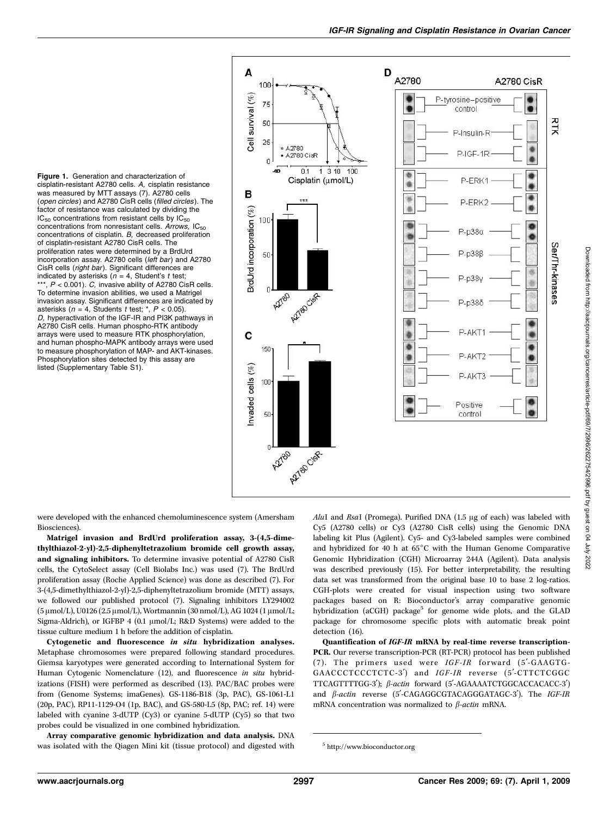Figure 1. Generation and characterization of cisplatin-resistant A2780 cells. A, cisplatin resistance was measured by MTT assays (7). A2780 cells (open circles) and A2780 CisR cells (filled circles). The factor of resistance was calculated by dividing the  $IC_{50}$  concentrations from resistant cells by  $IC_{50}$ concentrations from nonresistant cells. Arrows,  $IC_{50}$ concentrations of cisplatin. B, decreased proliferation of cisplatin-resistant A2780 CisR cells. The proliferation rates were determined by a BrdUrd incorporation assay. A2780 cells (left bar) and A2780 CisR cells (right bar). Significant differences are indicated by asterisks ( $n = 4$ , Student's t test;  $**$ ,  $P < 0.001$ ). C, invasive ability of A2780 CisR cells. To determine invasion abilities, we used a Matrigel invasion assay. Significant differences are indicated by asterisks ( $n = 4$ , Students t test; \*,  $P < 0.05$ ). D, hyperactivation of the IGF-IR and PI3K pathways in A2780 CisR cells. Human phospho-RTK antibody arrays were used to measure RTK phosphorylation, and human phospho-MAPK antibody arrays were used to measure phosphorylation of MAP- and AKT-kinases. Phosphorylation sites detected by this assay are listed (Supplementary Table S1).



were developed with the enhanced chemoluminescence system (Amersham Biosciences).

Matrigel invasion and BrdUrd proliferation assay, 3-(4,5-dimethylthiazol-2-yl)-2,5-diphenyltetrazolium bromide cell growth assay, and signaling inhibitors. To determine invasive potential of A2780 CisR cells, the CytoSelect assay (Cell Biolabs Inc.) was used (7). The BrdUrd proliferation assay (Roche Applied Science) was done as described (7). For 3-(4,5-dimethylthiazol-2-yl)-2,5-diphenyltetrazolium bromide (MTT) assays, we followed our published protocol (7). Signaling inhibitors LY294002 (5 μmol/L), U0126 (2.5 μmol/L), Wortmannin (30 nmol/L), AG 1024 (1 μmol/L; Sigma-Aldrich), or IGFBP 4 (0.1  $\mu$ mol/L; R&D Systems) were added to the tissue culture medium 1 h before the addition of cisplatin.

Cytogenetic and fluorescence in situ hybridization analyses. Metaphase chromosomes were prepared following standard procedures. Giemsa karyotypes were generated according to International System for Human Cytogenic Nomenclature (12), and fluorescence in situ hybridizations (FISH) were performed as described (13). PAC/BAC probes were from (Genome Systems; imaGenes). GS-1186-B18 (3p, PAC), GS-1061-L1 (20p, PAC), RP11-1129-O4 (1p, BAC), and GS-580-L5 (8p, PAC; ref. 14) were labeled with cyanine 3-dUTP (Cy3) or cyanine 5-dUTP (Cy5) so that two probes could be visualized in one combined hybridization.

Array comparative genomic hybridization and data analysis. DNA was isolated with the Qiagen Mini kit (tissue protocol) and digested with  $AluI$  and  $RsaI$  (Promega). Purified DNA (1.5  $\mu$ g of each) was labeled with Cy5 (A2780 cells) or Cy3 (A2780 CisR cells) using the Genomic DNA labeling kit Plus (Agilent). Cy5- and Cy3-labeled samples were combined and hybridized for 40 h at  $65^{\circ}$ C with the Human Genome Comparative Genomic Hybridization (CGH) Microarray 244A (Agilent). Data analysis was described previously (15). For better interpretability, the resulting data set was transformed from the original base 10 to base 2 log-ratios. CGH-plots were created for visual inspection using two software packages based on R: Bioconductor's array comparative genomic hybridization (aCGH) package<sup>5</sup> for genome wide plots, and the GLAD package for chromosome specific plots with automatic break point detection (16).

Quantification of IGF-IR mRNA by real-time reverse transcription-PCR. Our reverse transcription-PCR (RT-PCR) protocol has been published (7). The primers used were  $IGF-IR$  forward (5'-GAAGTG-GAACCCTCCCTCTC-3') and IGF-IR reverse (5'-CTTCTCGGC TTCAGTTTTGG-3');  $\beta$ -actin forward (5'-AGAAAATCTGGCACCACACC-3') and  $\beta$ -actin reverse (5'-CAGAGGCGTACAGGGATAGC-3'). The IGF-IR mRNA concentration was normalized to  $\beta$ -actin mRNA.

<sup>5</sup> http://www.bioconductor.org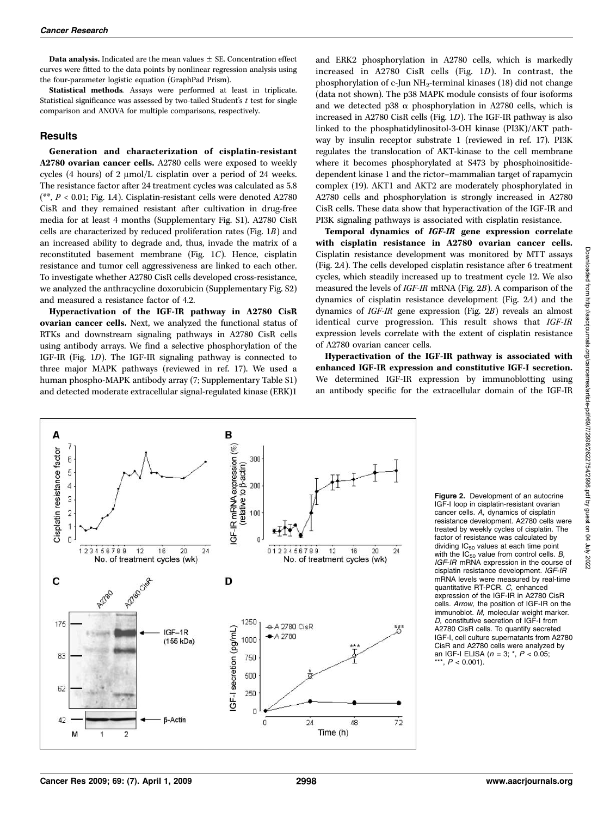**Data analysis.** Indicated are the mean values  $\pm$  SE. Concentration effect curves were fitted to the data points by nonlinear regression analysis using the four-parameter logistic equation (GraphPad Prism).

Statistical methods. Assays were performed at least in triplicate. Statistical significance was assessed by two-tailed Student's  $t$  test for single comparison and ANOVA for multiple comparisons, respectively.

#### Results

Generation and characterization of cisplatin-resistant A2780 ovarian cancer cells. A2780 cells were exposed to weekly cycles (4 hours) of 2  $\mu$ mol/L cisplatin over a period of 24 weeks. The resistance factor after 24 treatment cycles was calculated as 5.8 (\*\*,  $P < 0.01$ ; Fig. 1A). Cisplatin-resistant cells were denoted A2780 CisR and they remained resistant after cultivation in drug-free media for at least 4 months (Supplementary Fig. S1). A2780 CisR cells are characterized by reduced proliferation rates (Fig. 1B) and an increased ability to degrade and, thus, invade the matrix of a reconstituted basement membrane (Fig. 1C). Hence, cisplatin resistance and tumor cell aggressiveness are linked to each other. To investigate whether A2780 CisR cells developed cross-resistance, we analyzed the anthracycline doxorubicin (Supplementary Fig. S2) and measured a resistance factor of 4.2.

Hyperactivation of the IGF-IR pathway in A2780 CisR ovarian cancer cells. Next, we analyzed the functional status of RTKs and downstream signaling pathways in A2780 CisR cells using antibody arrays. We find a selective phosphorylation of the IGF-IR (Fig. 1D). The IGF-IR signaling pathway is connected to three major MAPK pathways (reviewed in ref. 17). We used a human phospho-MAPK antibody array (7; Supplementary Table S1) and detected moderate extracellular signal-regulated kinase (ERK)1

and ERK2 phosphorylation in A2780 cells, which is markedly increased in A2780 CisR cells (Fig. 1D). In contrast, the phosphorylation of c-Jun NH2-terminal kinases (18) did not change (data not shown). The p38 MAPK module consists of four isoforms and we detected p38  $\alpha$  phosphorylation in A2780 cells, which is increased in A2780 CisR cells (Fig. 1D). The IGF-IR pathway is also linked to the phosphatidylinositol-3-OH kinase (PI3K)/AKT pathway by insulin receptor substrate 1 (reviewed in ref. 17). PI3K regulates the translocation of AKT-kinase to the cell membrane where it becomes phosphorylated at S473 by phosphoinositidedependent kinase 1 and the rictor–mammalian target of rapamycin complex (19). AKT1 and AKT2 are moderately phosphorylated in A2780 cells and phosphorylation is strongly increased in A2780 CisR cells. These data show that hyperactivation of the IGF-IR and PI3K signaling pathways is associated with cisplatin resistance.

Temporal dynamics of IGF-IR gene expression correlate with cisplatin resistance in A2780 ovarian cancer cells. Cisplatin resistance development was monitored by MTT assays (Fig. 2A). The cells developed cisplatin resistance after 6 treatment cycles, which steadily increased up to treatment cycle 12. We also measured the levels of IGF-IR mRNA (Fig. 2B). A comparison of the dynamics of cisplatin resistance development (Fig. 2A) and the dynamics of IGF-IR gene expression (Fig. 2B) reveals an almost identical curve progression. This result shows that IGF-IR expression levels correlate with the extent of cisplatin resistance of A2780 ovarian cancer cells.

Hyperactivation of the IGF-IR pathway is associated with enhanced IGF-IR expression and constitutive IGF-I secretion. We determined IGF-IR expression by immunoblotting using an antibody specific for the extracellular domain of the IGF-IR



Figure 2. Development of an autocrine IGF-I loop in cisplatin-resistant ovarian cancer cells. A, dynamics of cisplatin resistance development. A2780 cells were treated by weekly cycles of cisplatin. The factor of resistance was calculated by dividing  $IC_{50}$  values at each time point with the  $IC_{50}$  value from control cells.  $B$ , IGF-IR mRNA expression in the course of cisplatin resistance development. IGF-IR mRNA levels were measured by real-time quantitative RT-PCR. C, enhanced expression of the IGF-IR in A2780 CisR cells. Arrow, the position of IGF-IR on the immunoblot. M, molecular weight marker. D, constitutive secretion of IGF-I from A2780 CisR cells. To quantify secreted IGF-I, cell culture supernatants from A2780 CisR and A2780 cells were analyzed by an IGF-I ELISA ( $n = 3$ ;  $^{*}$ ,  $P < 0.05$ ; \*\*\*,  $P < 0.001$ ).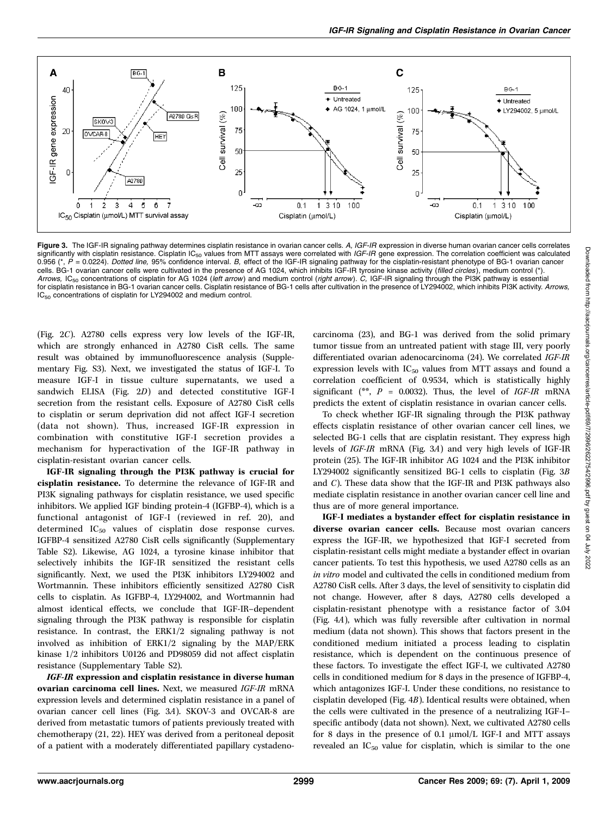

Figure 3. The IGF-IR signaling pathway determines cisplatin resistance in ovarian cancer cells. A, IGF-IR expression in diverse human ovarian cancer cells correlates significantly with cisplatin resistance. Cisplatin  $IC_{F0}$  values from MTT assays were correlated with IGF-IR gene expression. The correlation coefficient was calculated 0.956 (\*,  $\acute{P}$  = 0.0224). Dotted line, 95% confidence interval. B, effect of the IGF-IR signaling pathway for the cisplatin-resistant phenotype of BG-1 ovarian cancer cells. BG-1 ovarian cancer cells were cultivated in the presence of AG 1024, which inhibits IGF-IR tyrosine kinase activity (filled circles), medium control (\*). Arrows, IC<sub>50</sub> concentrations of cisplatin for AG 1024 (left arrow) and medium control (right arrow). C, IGF-IR signaling through the PI3K pathway is essential for cisplatin resistance in BG-1 ovarian cancer cells. Cisplatin resistance of BG-1 cells after cultivation in the presence of LY294002, which inhibits PI3K activity. Arrows, IC<sub>50</sub> concentrations of cisplatin for LY294002 and medium control.

(Fig. 2C). A2780 cells express very low levels of the IGF-IR, which are strongly enhanced in A2780 CisR cells. The same result was obtained by immunofluorescence analysis (Supplementary Fig. S3). Next, we investigated the status of IGF-I. To measure IGF-I in tissue culture supernatants, we used a sandwich ELISA (Fig. 2D) and detected constitutive IGF-I secretion from the resistant cells. Exposure of A2780 CisR cells to cisplatin or serum deprivation did not affect IGF-I secretion (data not shown). Thus, increased IGF-IR expression in combination with constitutive IGF-I secretion provides a mechanism for hyperactivation of the IGF-IR pathway in cisplatin-resistant ovarian cancer cells.

IGF-IR signaling through the PI3K pathway is crucial for cisplatin resistance. To determine the relevance of IGF-IR and PI3K signaling pathways for cisplatin resistance, we used specific inhibitors. We applied IGF binding protein-4 (IGFBP-4), which is a functional antagonist of IGF-I (reviewed in ref. 20), and determined IC<sub>50</sub> values of cisplatin dose response curves. IGFBP-4 sensitized A2780 CisR cells significantly (Supplementary Table S2). Likewise, AG 1024, a tyrosine kinase inhibitor that selectively inhibits the IGF-IR sensitized the resistant cells significantly. Next, we used the PI3K inhibitors LY294002 and Wortmannin. These inhibitors efficiently sensitized A2780 CisR cells to cisplatin. As IGFBP-4, LY294002, and Wortmannin had almost identical effects, we conclude that IGF-IR–dependent signaling through the PI3K pathway is responsible for cisplatin resistance. In contrast, the ERK1/2 signaling pathway is not involved as inhibition of ERK1/2 signaling by the MAP/ERK kinase 1/2 inhibitors U0126 and PD98059 did not affect cisplatin resistance (Supplementary Table S2).

IGF-IR expression and cisplatin resistance in diverse human ovarian carcinoma cell lines. Next, we measured IGF-IR mRNA expression levels and determined cisplatin resistance in a panel of ovarian cancer cell lines (Fig. 3A). SKOV-3 and OVCAR-8 are derived from metastatic tumors of patients previously treated with chemotherapy (21, 22). HEY was derived from a peritoneal deposit of a patient with a moderately differentiated papillary cystadenocarcinoma (23), and BG-1 was derived from the solid primary tumor tissue from an untreated patient with stage III, very poorly differentiated ovarian adenocarcinoma (24). We correlated IGF-IR expression levels with  $IC_{50}$  values from MTT assays and found a correlation coefficient of 0.9534, which is statistically highly significant (\*\*,  $P = 0.0032$ ). Thus, the level of IGF-IR mRNA predicts the extent of cisplatin resistance in ovarian cancer cells.

To check whether IGF-IR signaling through the PI3K pathway effects cisplatin resistance of other ovarian cancer cell lines, we selected BG-1 cells that are cisplatin resistant. They express high levels of IGF-IR mRNA (Fig. 3A) and very high levels of IGF-IR protein (25). The IGF-IR inhibitor AG 1024 and the PI3K inhibitor LY294002 significantly sensitized BG-1 cells to cisplatin (Fig. 3B and C). These data show that the IGF-IR and PI3K pathways also mediate cisplatin resistance in another ovarian cancer cell line and thus are of more general importance.

IGF-I mediates a bystander effect for cisplatin resistance in diverse ovarian cancer cells. Because most ovarian cancers express the IGF-IR, we hypothesized that IGF-I secreted from cisplatin-resistant cells might mediate a bystander effect in ovarian cancer patients. To test this hypothesis, we used A2780 cells as an in vitro model and cultivated the cells in conditioned medium from A2780 CisR cells. After 3 days, the level of sensitivity to cisplatin did not change. However, after 8 days, A2780 cells developed a cisplatin-resistant phenotype with a resistance factor of 3.04 (Fig. 4A), which was fully reversible after cultivation in normal medium (data not shown). This shows that factors present in the conditioned medium initiated a process leading to cisplatin resistance, which is dependent on the continuous presence of these factors. To investigate the effect IGF-I, we cultivated A2780 cells in conditioned medium for 8 days in the presence of IGFBP-4, which antagonizes IGF-I. Under these conditions, no resistance to cisplatin developed (Fig. 4B). Identical results were obtained, when the cells were cultivated in the presence of a neutralizing IGF-I– specific antibody (data not shown). Next, we cultivated A2780 cells for 8 days in the presence of 0.1  $\mu$ mol/L IGF-I and MTT assays revealed an  $IC_{50}$  value for cisplatin, which is similar to the one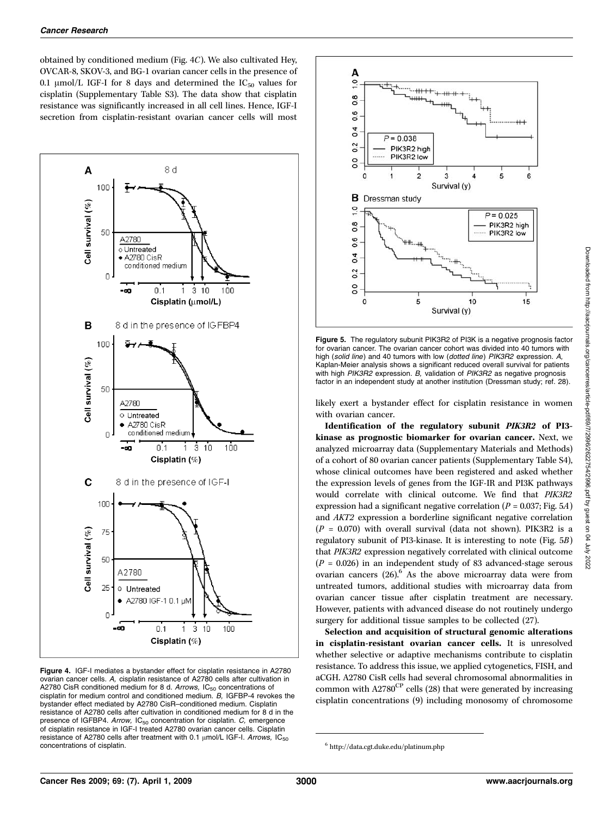obtained by conditioned medium (Fig. 4C). We also cultivated Hey, OVCAR-8, SKOV-3, and BG-1 ovarian cancer cells in the presence of 0.1  $\mu$ mol/L IGF-I for 8 days and determined the IC<sub>50</sub> values for cisplatin (Supplementary Table S3). The data show that cisplatin resistance was significantly increased in all cell lines. Hence, IGF-I secretion from cisplatin-resistant ovarian cancer cells will most



Figure 4. IGF-I mediates a bystander effect for cisplatin resistance in A2780 ovarian cancer cells. A, cisplatin resistance of A2780 cells after cultivation in A2780 CisR conditioned medium for 8 d. Arrows,  $IC_{50}$  concentrations of cisplatin for medium control and conditioned medium. B, IGFBP-4 revokes the bystander effect mediated by A2780 CisR–conditioned medium. Cisplatin resistance of A2780 cells after cultivation in conditioned medium for 8 d in the presence of IGFBP4. Arrow,  $IC_{50}$  concentration for cisplatin.  $C$ , emergence of cisplatin resistance in IGF-I treated A2780 ovarian cancer cells. Cisplatin resistance of A2780 cells after treatment with 0.1  $\mu$ mol/L IGF-I. Arrows, IC<sub>50</sub> concentrations of cisplatin.



Figure 5. The regulatory subunit PIK3R2 of PI3K is a negative prognosis factor for ovarian cancer. The ovarian cancer cohort was divided into 40 tumors with high (solid line) and 40 tumors with low (dotted line) PIK3R2 expression. A, Kaplan-Meier analysis shows a significant reduced overall survival for patients with high PIK3R2 expression. B, validation of PIK3R2 as negative prognosis factor in an independent study at another institution (Dressman study; ref. 28).

likely exert a bystander effect for cisplatin resistance in women with ovarian cancer.

Identification of the regulatory subunit PIK3R2 of PI3 kinase as prognostic biomarker for ovarian cancer. Next, we analyzed microarray data (Supplementary Materials and Methods) of a cohort of 80 ovarian cancer patients (Supplementary Table S4), whose clinical outcomes have been registered and asked whether the expression levels of genes from the IGF-IR and PI3K pathways would correlate with clinical outcome. We find that PIK3R2 expression had a significant negative correlation ( $P = 0.037$ ; Fig. 5A) and AKT2 expression a borderline significant negative correlation  $(P = 0.070)$  with overall survival (data not shown). PIK3R2 is a regulatory subunit of PI3-kinase. It is interesting to note (Fig. 5B) that PIK3R2 expression negatively correlated with clinical outcome  $(P = 0.026)$  in an independent study of 83 advanced-stage serous ovarian cancers  $(26)$ .<sup>6</sup> As the above microarray data were from untreated tumors, additional studies with microarray data from ovarian cancer tissue after cisplatin treatment are necessary. However, patients with advanced disease do not routinely undergo surgery for additional tissue samples to be collected (27).

Selection and acquisition of structural genomic alterations in cisplatin-resistant ovarian cancer cells. It is unresolved whether selective or adaptive mechanisms contribute to cisplatin resistance. To address this issue, we applied cytogenetics, FISH, and aCGH. A2780 CisR cells had several chromosomal abnormalities in common with  $A2780^{\text{CP}}$  cells (28) that were generated by increasing cisplatin concentrations (9) including monosomy of chromosome

<sup>6</sup> http://data.cgt.duke.edu/platinum.php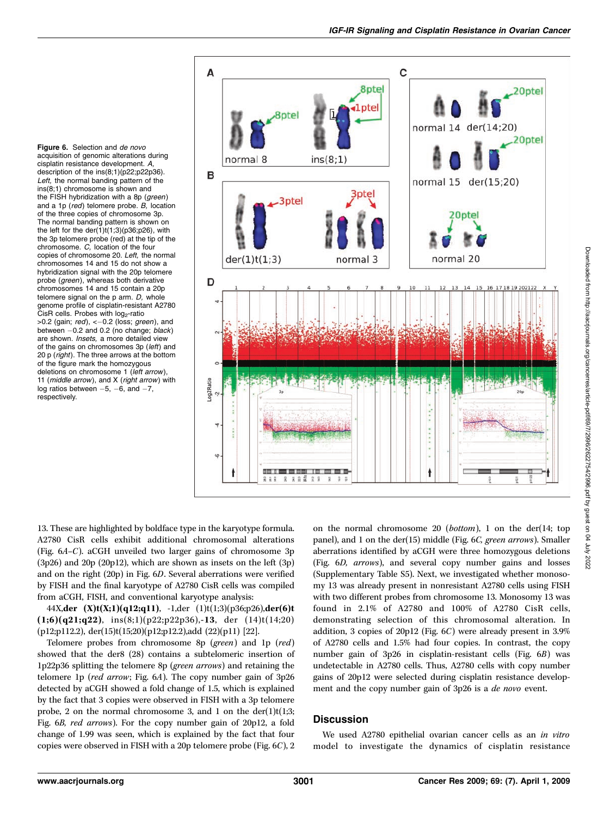Figure 6. Selection and de novo acquisition of genomic alterations during cisplatin resistance development. A, description of the ins(8;1)(p22;p22p36). Left, the normal banding pattern of the  $ins(8;1)$  chromosome is shown and the FISH hybridization with a 8p (green) and a 1p ( $red$ ) telomere probe. B, location of the three copies of chromosome 3p. The normal banding pattern is shown on the left for the der(1)t(1;3)(p36;p26), with the 3p telomere probe (red) at the tip of the chromosome. C, location of the four copies of chromosome 20. Left, the normal chromosomes 14 and 15 do not show a hybridization signal with the 20p telomere probe (green), whereas both derivative chromosomes 14 and 15 contain a 20p telomere signal on the  $p$  arm.  $D$ , whole genome profile of cisplatin-resistant A2780  $ČisR$  cells. Probes with  $log<sub>2</sub>$ -ratio  $>0.2$  (gain; red),  $<-0.2$  (loss; green), and between  $-0.2$  and 0.2 (no change; black) are shown. Insets, a more detailed view of the gains on chromosomes 3p (left) and 20 p (right). The three arrows at the bottom of the figure mark the homozygous deletions on chromosome 1 (left arrow), 11 ( $middle\ arrow$ ), and X ( $right\ arrow$ ) with log ratios between  $-5$ ,  $-6$ , and  $-7$ , respectively.



13. These are highlighted by boldface type in the karyotype formula. A2780 CisR cells exhibit additional chromosomal alterations (Fig.  $6A-C$ ). aCGH unveiled two larger gains of chromosome 3p (3p26) and 20p (20p12), which are shown as insets on the left (3p) and on the right (20p) in Fig. 6D. Several aberrations were verified by FISH and the final karyotype of A2780 CisR cells was compiled from aCGH, FISH, and conventional karyotype analysis:

44X,der  $(X)t(X;1)(q12;q11)$ , -1,der  $(1)t(1;3)(p36;p26)$ ,der $(6)t$  $(1;6)(q21;q22)$ , ins $(8;1)(p22;p22p36)$ ,-13, der  $(14)t(14;20)$ (p12;p112.2), der(15)t(15;20)(p12;p12.2),add (22)(p11) [22].

Telomere probes from chromosome 8p (green) and 1p (red) showed that the der8 (28) contains a subtelomeric insertion of 1p22p36 splitting the telomere 8p (green arrows) and retaining the telomere 1p (red arrow; Fig. 6A). The copy number gain of 3p26 detected by aCGH showed a fold change of 1.5, which is explained by the fact that 3 copies were observed in FISH with a 3p telomere probe, 2 on the normal chromosome 3, and 1 on the der(1)t(1;3; Fig. 6B, red arrows). For the copy number gain of 20p12, a fold change of 1.99 was seen, which is explained by the fact that four copies were observed in FISH with a 20p telomere probe (Fig.  $6C$ ), 2 on the normal chromosome  $20$  (*bottom*), 1 on the der(14; top panel), and 1 on the der(15) middle (Fig. 6C, green arrows). Smaller aberrations identified by aCGH were three homozygous deletions (Fig. 6D, arrows), and several copy number gains and losses (Supplementary Table S5). Next, we investigated whether monosomy 13 was already present in nonresistant A2780 cells using FISH with two different probes from chromosome 13. Monosomy 13 was found in 2.1% of A2780 and 100% of A2780 CisR cells, demonstrating selection of this chromosomal alteration. In addition, 3 copies of 20p12 (Fig. 6C) were already present in 3.9% of A2780 cells and 1.5% had four copies. In contrast, the copy number gain of 3p26 in cisplatin-resistant cells (Fig. 6B) was undetectable in A2780 cells. Thus, A2780 cells with copy number gains of 20p12 were selected during cisplatin resistance development and the copy number gain of 3p26 is a de novo event.

## **Discussion**

We used A2780 epithelial ovarian cancer cells as an in vitro model to investigate the dynamics of cisplatin resistance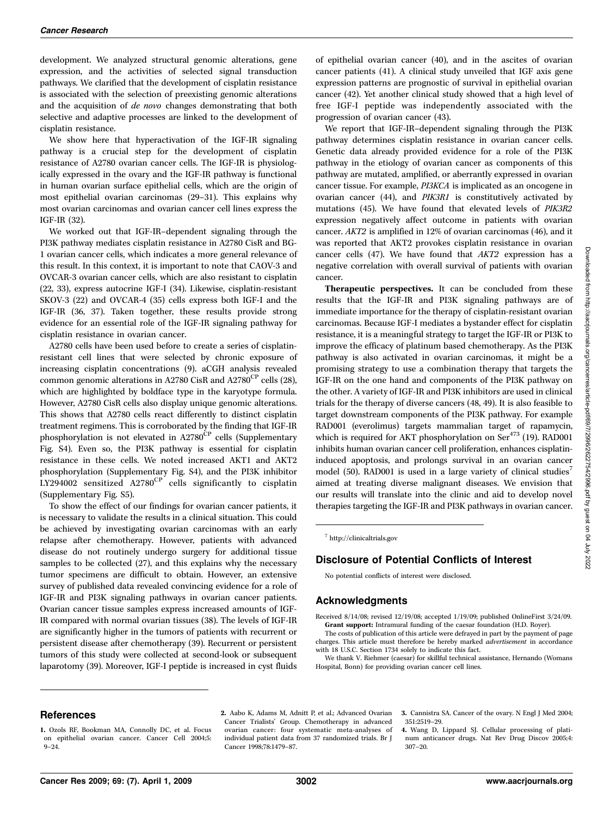development. We analyzed structural genomic alterations, gene expression, and the activities of selected signal transduction pathways. We clarified that the development of cisplatin resistance is associated with the selection of preexisting genomic alterations and the acquisition of de novo changes demonstrating that both selective and adaptive processes are linked to the development of cisplatin resistance.

We show here that hyperactivation of the IGF-IR signaling pathway is a crucial step for the development of cisplatin resistance of A2780 ovarian cancer cells. The IGF-IR is physiologically expressed in the ovary and the IGF-IR pathway is functional in human ovarian surface epithelial cells, which are the origin of most epithelial ovarian carcinomas (29–31). This explains why most ovarian carcinomas and ovarian cancer cell lines express the IGF-IR (32).

We worked out that IGF-IR–dependent signaling through the PI3K pathway mediates cisplatin resistance in A2780 CisR and BG-1 ovarian cancer cells, which indicates a more general relevance of this result. In this context, it is important to note that CAOV-3 and OVCAR-3 ovarian cancer cells, which are also resistant to cisplatin (22, 33), express autocrine IGF-I (34). Likewise, cisplatin-resistant SKOV-3 (22) and OVCAR-4 (35) cells express both IGF-I and the IGF-IR (36, 37). Taken together, these results provide strong evidence for an essential role of the IGF-IR signaling pathway for cisplatin resistance in ovarian cancer.

A2780 cells have been used before to create a series of cisplatinresistant cell lines that were selected by chronic exposure of increasing cisplatin concentrations (9). aCGH analysis revealed common genomic alterations in A2780 CisR and A2780<sup>CP</sup> cells (28), which are highlighted by boldface type in the karyotype formula. However, A2780 CisR cells also display unique genomic alterations. This shows that A2780 cells react differently to distinct cisplatin treatment regimens. This is corroborated by the finding that IGF-IR phosphorylation is not elevated in  $A2780^{\rm CP}$  cells (Supplementary Fig. S4). Even so, the PI3K pathway is essential for cisplatin resistance in these cells. We noted increased AKT1 and AKT2 phosphorylation (Supplementary Fig. S4), and the PI3K inhibitor LY294002 sensitized  $A2780^{\text{CP}}$  cells significantly to cisplatin (Supplementary Fig. S5).

To show the effect of our findings for ovarian cancer patients, it is necessary to validate the results in a clinical situation. This could be achieved by investigating ovarian carcinomas with an early relapse after chemotherapy. However, patients with advanced disease do not routinely undergo surgery for additional tissue samples to be collected (27), and this explains why the necessary tumor specimens are difficult to obtain. However, an extensive survey of published data revealed convincing evidence for a role of IGF-IR and PI3K signaling pathways in ovarian cancer patients. Ovarian cancer tissue samples express increased amounts of IGF-IR compared with normal ovarian tissues (38). The levels of IGF-IR are significantly higher in the tumors of patients with recurrent or persistent disease after chemotherapy (39). Recurrent or persistent tumors of this study were collected at second-look or subsequent laparotomy (39). Moreover, IGF-I peptide is increased in cyst fluids

of epithelial ovarian cancer (40), and in the ascites of ovarian cancer patients (41). A clinical study unveiled that IGF axis gene expression patterns are prognostic of survival in epithelial ovarian cancer (42). Yet another clinical study showed that a high level of free IGF-I peptide was independently associated with the progression of ovarian cancer (43).

We report that IGF-IR–dependent signaling through the PI3K pathway determines cisplatin resistance in ovarian cancer cells. Genetic data already provided evidence for a role of the PI3K pathway in the etiology of ovarian cancer as components of this pathway are mutated, amplified, or aberrantly expressed in ovarian cancer tissue. For example, PI3KCA is implicated as an oncogene in ovarian cancer (44), and PIK3R1 is constitutively activated by mutations (45). We have found that elevated levels of PIK3R2 expression negatively affect outcome in patients with ovarian cancer. AKT2 is amplified in 12% of ovarian carcinomas (46), and it was reported that AKT2 provokes cisplatin resistance in ovarian cancer cells (47). We have found that AKT2 expression has a negative correlation with overall survival of patients with ovarian cancer.

Therapeutic perspectives. It can be concluded from these results that the IGF-IR and PI3K signaling pathways are of immediate importance for the therapy of cisplatin-resistant ovarian carcinomas. Because IGF-I mediates a bystander effect for cisplatin resistance, it is a meaningful strategy to target the IGF-IR or PI3K to improve the efficacy of platinum based chemotherapy. As the PI3K pathway is also activated in ovarian carcinomas, it might be a promising strategy to use a combination therapy that targets the IGF-IR on the one hand and components of the PI3K pathway on the other. A variety of IGF-IR and PI3K inhibitors are used in clinical trials for the therapy of diverse cancers (48, 49). It is also feasible to target downstream components of the PI3K pathway. For example RAD001 (everolimus) targets mammalian target of rapamycin, which is required for AKT phosphorylation on Ser<sup>473</sup> (19). RAD001 inhibits human ovarian cancer cell proliferation, enhances cisplatininduced apoptosis, and prolongs survival in an ovarian cancer model (50). RAD001 is used in a large variety of clinical studies<sup>7</sup> aimed at treating diverse malignant diseases. We envision that our results will translate into the clinic and aid to develop novel therapies targeting the IGF-IR and PI3K pathways in ovarian cancer.

<sup>7</sup> http://clinicaltrials.gov

## Disclosure of Potential Conflicts of Interest

No potential conflicts of interest were disclosed.

#### Acknowledgments

Received 8/14/08; revised 12/19/08; accepted 1/19/09; published OnlineFirst 3/24/09. Grant support: Intramural funding of the caesar foundation (H.D. Royer).

The costs of publication of this article were defrayed in part by the payment of page charges. This article must therefore be hereby marked *advertisement* in accordance with 18 U.S.C. Section 1734 solely to indicate this fact.

We thank V. Riehmer (caesar) for skillful technical assistance, Hernando (Womans Hospital, Bonn) for providing ovarian cancer cell lines.

#### References

2. Aabo K, Adams M, Adnitt P, et al.; Advanced Ovarian Cancer Trialists' Group. Chemotherapy in advanced ovarian cancer: four systematic meta-analyses of individual patient data from 37 randomized trials. Br J Cancer 1998;78:1479–87.

3. Cannistra SA. Cancer of the ovary. N Engl J Med 2004; 351:2519–29.

4. Wang D, Lippard SJ. Cellular processing of platinum anticancer drugs. Nat Rev Drug Discov 2005;4: 307–20.

<sup>1.</sup> Ozols RF, Bookman MA, Connolly DC, et al. Focus on epithelial ovarian cancer. Cancer Cell 2004;5: 9–24.